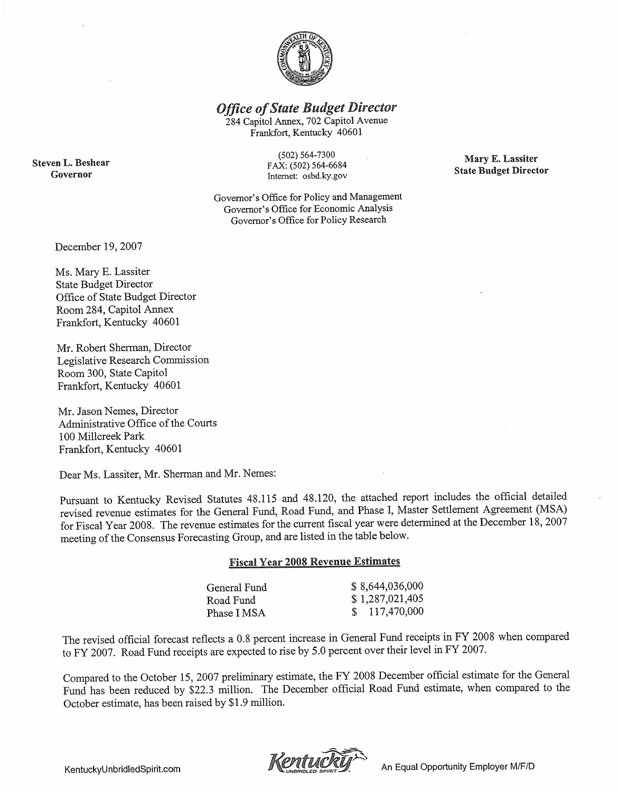

**Office of State Budget Director** 

284 Capitol Annex, 702 Capitol Avenue Frankfort, Kentucky 40601

**Steven L. Beshear** Governor

 $(502) 564 - 7300$ FAX: (502) 564-6684 Internet: osbd.ky.gov

Governor's Office for Policy and Management Governor's Office for Economic Analysis Governor's Office for Policy Research

Mary E. Lassiter **State Budget Director** 

December 19, 2007

Ms. Mary E. Lassiter **State Budget Director** Office of State Budget Director Room 284, Capitol Annex Frankfort, Kentucky 40601

Mr. Robert Sherman, Director Legislative Research Commission Room 300, State Capitol Frankfort, Kentucky 40601

Mr. Jason Nemes, Director Administrative Office of the Courts 100 Millcreek Park Frankfort, Kentucky 40601

Dear Ms. Lassiter, Mr. Sherman and Mr. Nemes:

Pursuant to Kentucky Revised Statutes 48.115 and 48.120, the attached report includes the official detailed revised revenue estimates for the General Fund, Road Fund, and Phase I, Master Settlement Agreement (MSA) for Fiscal Year 2008. The revenue estimates for the current fiscal year were determined at the December 18,  $2007$ meeting of the Consensus Forecasting Group, and are listed in the table below.

# **Fiscal Year 2008 Revenue Estimates**

| General Fund | \$8,644,036,000 |
|--------------|-----------------|
| Road Fund    | \$1,287,021,405 |
| Phase I MSA  | 117,470,000     |

The revised official forecast reflects a 0.8 percent increase in General Fund receipts in FY 2008 when compared to FY 2007. Road Fund receipts are expected to rise by 5.0 percent over their level in FY 2007.

Compared to the October 15, 2007 preliminary estimate, the FY 2008 December official estimate for the General Fund has been reduced by \$22.3 million. The December official Road Fund estimate, when compared to the October estimate, has been raised by \$1.9 million.



An Equal Opportunity Employer M/F/D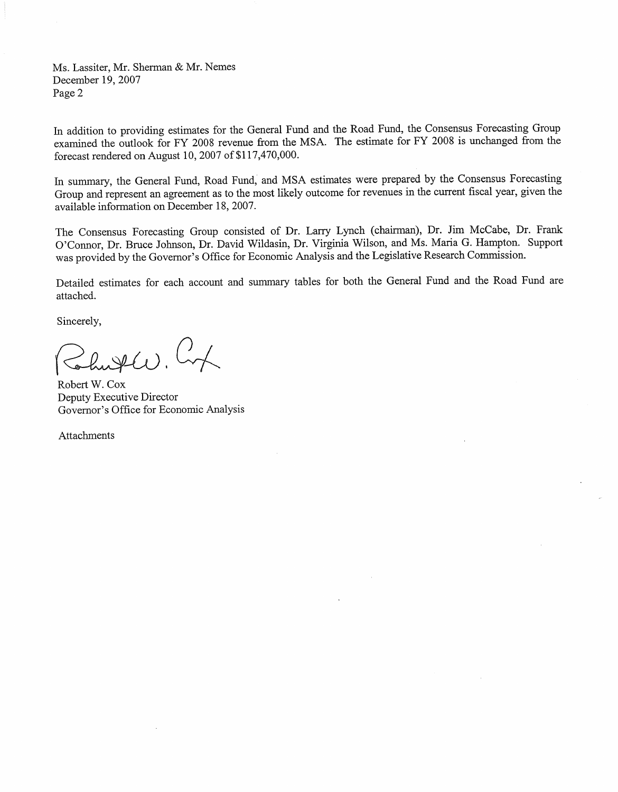Ms. Lassiter, Mr. Sherman & Mr. Nemes December 19, 2007 Page 2

In addition to providing estimates for the General Fund and the Road Fund, the Consensus Forecasting Group examined the outlook for FY 2008 revenue from the MSA. The estimate for FY 2008 is unchanged from the forecast rendered on August 10, 2007 of \$117,470,000.

In summary, the General Fund, Road Fund, and MSA estimates were prepared by the Consensus Forecasting Group and represent an agreement as to the most likely outcome for revenues in the current fiscal year, given the available information on December 18, 2007.

The Consensus Forecasting Group consisted of Dr. Larry Lynch (chairman), Dr. Jim McCabe, Dr. Frank O'Connor, Dr. Bruce Johnson, Dr. David Wildasin, Dr. Virginia Wilson, and Ms. Maria G. Hampton. Support was provided by the Governor's Office for Economic Analysis and the Legislative Research Commission.

Detailed estimates for each account and summary tables for both the General Fund and the Road Fund are attached.

Sincerely,

 $0\leq\ell_{1}$ 

Robert W. Cox Deputy Executive Director Governor's Office for Economic Analysis

Attachments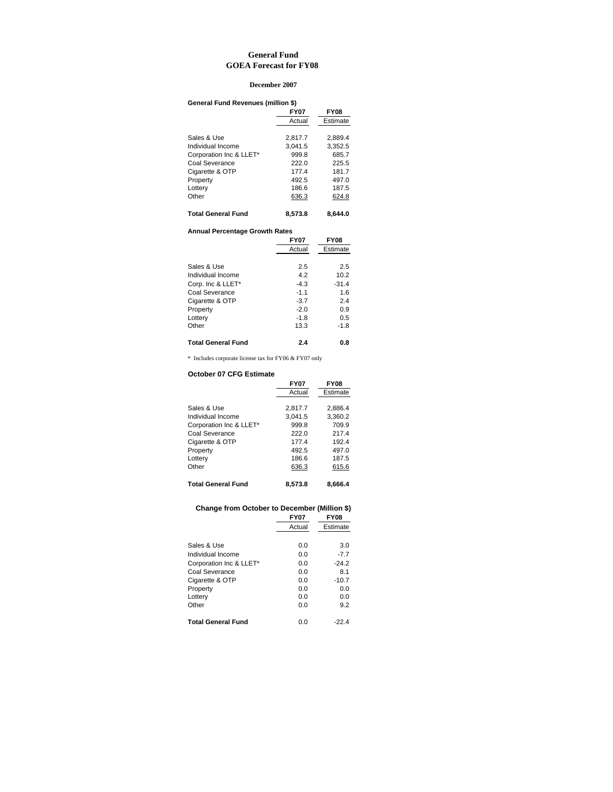#### **General Fund GOEA Forecast for FY08**

#### **December 2007**

| General Fund Revenues (million \$) |             |             |
|------------------------------------|-------------|-------------|
|                                    | <b>FY07</b> | <b>FY08</b> |
|                                    | Actual      | Estimate    |
| Sales & Use                        | 2.817.7     | 2.889.4     |
| Individual Income                  | 3.041.5     | 3,352.5     |
| Corporation Inc & LLET*            | 999.8       | 685.7       |
| Coal Severance                     | 222.0       | 225.5       |
| Cigarette & OTP                    | 177.4       | 181.7       |
| Property                           | 492.5       | 497.0       |
| Lottery                            | 186.6       | 187.5       |
| Other                              | 636.3       | 624.8       |
| <b>Total General Fund</b>          | 8,573.8     | 8.644.0     |

#### **Annual Percentage Growth Rates**

|                           | <b>FY07</b> | <b>FY08</b> |
|---------------------------|-------------|-------------|
|                           | Actual      | Estimate    |
|                           |             |             |
| Sales & Use               | 2.5         | 2.5         |
| Individual Income         | 4.2         | 10.2        |
| Corp. Inc & LLET*         | $-4.3$      | $-31.4$     |
| Coal Severance            | $-1.1$      | 1.6         |
| Cigarette & OTP           | $-3.7$      | 2.4         |
| Property                  | $-2.0$      | 0.9         |
| Lottery                   | $-1.8$      | 0.5         |
| Other                     | 13.3        | $-1.8$      |
| <b>Total General Fund</b> | 2.4         | 0.8         |

 $\,^*$  Includes corporate license tax for FY06 & FY07 only

### **October 07 CFG Estimate**

|                           | <b>FY07</b> | <b>FY08</b> |
|---------------------------|-------------|-------------|
|                           | Actual      | Estimate    |
|                           |             |             |
| Sales & Use               | 2.817.7     | 2.886.4     |
| Individual Income         | 3.041.5     | 3.360.2     |
| Corporation Inc & LLET*   | 999.8       | 709.9       |
| Coal Severance            | 222.0       | 217.4       |
| Cigarette & OTP           | 177.4       | 192.4       |
| Property                  | 492.5       | 497.0       |
| Lottery                   | 186.6       | 187.5       |
| Other                     | 636.3       | 615.6       |
| <b>Total General Fund</b> | 8.573.8     | 8,666.4     |

### **Change from October to December (Million \$)**

|                         | <b>FY07</b> | <b>FY08</b> |
|-------------------------|-------------|-------------|
|                         | Actual      | Estimate    |
|                         |             |             |
| Sales & Use             | 0.0         | 3.0         |
| Individual Income       | 0.0         | $-7.7$      |
| Corporation Inc & LLET* | 0.0         | $-24.2$     |
| Coal Severance          | 0.0         | 8.1         |
| Cigarette & OTP         | 0.0         | $-10.7$     |
| Property                | 0.0         | 0.0         |
| Lottery                 | 0.0         | 0.0         |
| Other                   | 0.0         | 9.2         |
| Total General Fund      | 0.0         | $-22.4$     |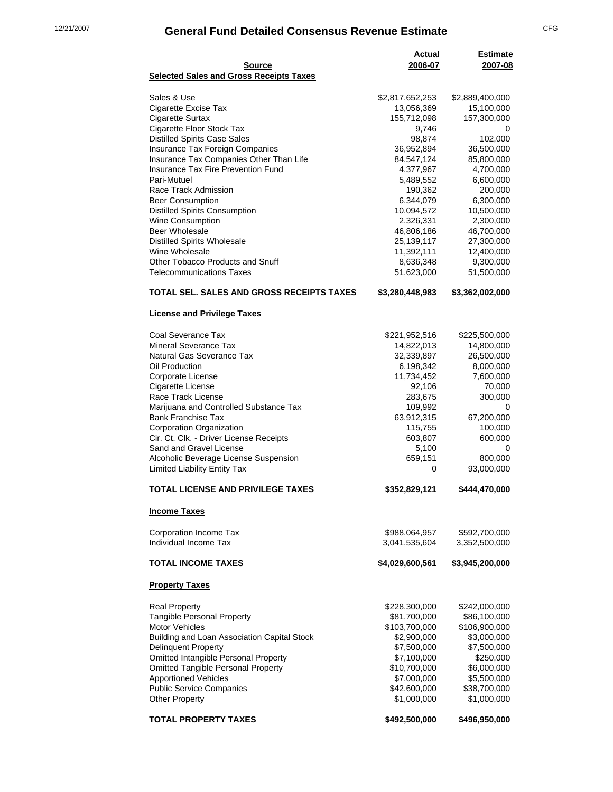# 12/21/2007 **General Fund Detailed Consensus Revenue Estimate** CFG

| Source                                         | Actual<br>2006-07 | <b>Estimate</b><br>2007-08 |
|------------------------------------------------|-------------------|----------------------------|
| <b>Selected Sales and Gross Receipts Taxes</b> |                   |                            |
| Sales & Use                                    | \$2,817,652,253   | \$2,889,400,000            |
| Cigarette Excise Tax                           | 13,056,369        | 15,100,000                 |
| <b>Cigarette Surtax</b>                        | 155,712,098       | 157,300,000                |
| Cigarette Floor Stock Tax                      | 9,746             | 0                          |
| <b>Distilled Spirits Case Sales</b>            | 98,874            | 102,000                    |
| Insurance Tax Foreign Companies                | 36,952,894        | 36,500,000                 |
| Insurance Tax Companies Other Than Life        | 84,547,124        | 85,800,000                 |
| Insurance Tax Fire Prevention Fund             | 4,377,967         | 4,700,000                  |
| Pari-Mutuel                                    | 5,489,552         | 6,600,000                  |
| Race Track Admission                           | 190,362           | 200,000                    |
| <b>Beer Consumption</b>                        | 6,344,079         | 6,300,000                  |
| <b>Distilled Spirits Consumption</b>           | 10,094,572        | 10,500,000                 |
| <b>Wine Consumption</b>                        | 2,326,331         | 2,300,000                  |
| <b>Beer Wholesale</b>                          | 46,806,186        | 46,700,000                 |
| <b>Distilled Spirits Wholesale</b>             | 25,139,117        | 27,300,000                 |
| Wine Wholesale                                 | 11,392,111        | 12,400,000                 |
| Other Tobacco Products and Snuff               | 8,636,348         | 9,300,000                  |
| <b>Telecommunications Taxes</b>                | 51,623,000        | 51,500,000                 |
| TOTAL SEL. SALES AND GROSS RECEIPTS TAXES      | \$3,280,448,983   | \$3,362,002,000            |
| <b>License and Privilege Taxes</b>             |                   |                            |
| Coal Severance Tax                             | \$221,952,516     | \$225,500,000              |
| Mineral Severance Tax                          | 14,822,013        | 14,800,000                 |
| Natural Gas Severance Tax                      | 32,339,897        | 26,500,000                 |
| Oil Production                                 | 6,198,342         | 8,000,000                  |
| Corporate License                              | 11,734,452        | 7,600,000                  |
| Cigarette License                              | 92,106            | 70,000                     |
| Race Track License                             | 283,675           | 300,000                    |
| Marijuana and Controlled Substance Tax         | 109,992           | 0                          |
| <b>Bank Franchise Tax</b>                      | 63,912,315        | 67,200,000                 |
| Corporation Organization                       | 115,755           | 100,000                    |
| Cir. Ct. Clk. - Driver License Receipts        | 603,807           | 600,000                    |
| Sand and Gravel License                        | 5,100             | 0                          |
| Alcoholic Beverage License Suspension          | 659,151           | 800,000                    |
| Limited Liability Entity Tax                   | 0                 | 93,000,000                 |
| <b>TOTAL LICENSE AND PRIVILEGE TAXES</b>       | \$352,829,121     | \$444,470,000              |
| <b>Income Taxes</b>                            |                   |                            |
| Corporation Income Tax                         | \$988,064,957     | \$592,700,000              |
| Individual Income Tax                          | 3,041,535,604     | 3,352,500,000              |
|                                                |                   |                            |
| <b>TOTAL INCOME TAXES</b>                      | \$4,029,600,561   | \$3,945,200,000            |
| <b>Property Taxes</b>                          |                   |                            |
| <b>Real Property</b>                           | \$228,300,000     | \$242,000,000              |
| <b>Tangible Personal Property</b>              | \$81,700,000      | \$86,100,000               |
| <b>Motor Vehicles</b>                          | \$103,700,000     | \$106,900,000              |
| Building and Loan Association Capital Stock    | \$2,900,000       | \$3,000,000                |
| <b>Delinquent Property</b>                     | \$7,500,000       | \$7,500,000                |
| Omitted Intangible Personal Property           | \$7,100,000       | \$250,000                  |
| <b>Omitted Tangible Personal Property</b>      | \$10,700,000      | \$6,000,000                |
| <b>Apportioned Vehicles</b>                    | \$7,000,000       | \$5,500,000                |
| <b>Public Service Companies</b>                | \$42,600,000      | \$38,700,000               |
| <b>Other Property</b>                          | \$1,000,000       | \$1,000,000                |
| TOTAL PROPERTY TAXES                           | \$492,500,000     | \$496,950,000              |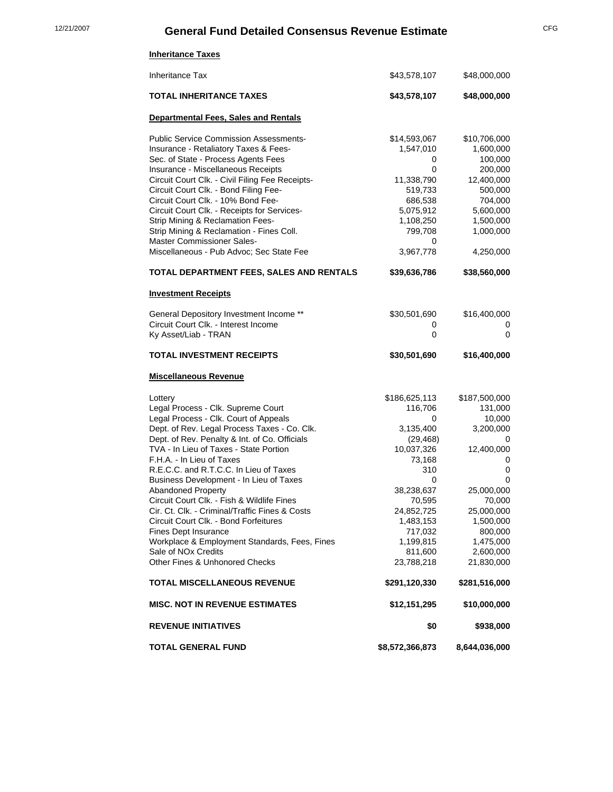# 12/21/2007 **General Fund Detailed Consensus Revenue Estimate** CFG

| <b>Inheritance Taxes</b>                                                                                                                                                                                                                                                                                                                                                                                                                                                                                                                                                                                                                                                                                      |                                                                                                                                                                                                                  |                                                                                                                                                                                                          |
|---------------------------------------------------------------------------------------------------------------------------------------------------------------------------------------------------------------------------------------------------------------------------------------------------------------------------------------------------------------------------------------------------------------------------------------------------------------------------------------------------------------------------------------------------------------------------------------------------------------------------------------------------------------------------------------------------------------|------------------------------------------------------------------------------------------------------------------------------------------------------------------------------------------------------------------|----------------------------------------------------------------------------------------------------------------------------------------------------------------------------------------------------------|
| <b>Inheritance Tax</b>                                                                                                                                                                                                                                                                                                                                                                                                                                                                                                                                                                                                                                                                                        | \$43,578,107                                                                                                                                                                                                     | \$48,000,000                                                                                                                                                                                             |
| <b>TOTAL INHERITANCE TAXES</b>                                                                                                                                                                                                                                                                                                                                                                                                                                                                                                                                                                                                                                                                                | \$43,578,107                                                                                                                                                                                                     | \$48,000,000                                                                                                                                                                                             |
| <b>Departmental Fees, Sales and Rentals</b>                                                                                                                                                                                                                                                                                                                                                                                                                                                                                                                                                                                                                                                                   |                                                                                                                                                                                                                  |                                                                                                                                                                                                          |
| <b>Public Service Commission Assessments-</b><br>Insurance - Retaliatory Taxes & Fees-<br>Sec. of State - Process Agents Fees<br>Insurance - Miscellaneous Receipts<br>Circuit Court Clk. - Civil Filing Fee Receipts-<br>Circuit Court Clk. - Bond Filing Fee-<br>Circuit Court Clk. - 10% Bond Fee-<br>Circuit Court Clk. - Receipts for Services-<br>Strip Mining & Reclamation Fees-<br>Strip Mining & Reclamation - Fines Coll.                                                                                                                                                                                                                                                                          | \$14,593,067<br>1,547,010<br>0<br>0<br>11,338,790<br>519,733<br>686,538<br>5,075,912<br>1,108,250<br>799,708                                                                                                     | \$10,706,000<br>1,600,000<br>100,000<br>200,000<br>12,400,000<br>500,000<br>704,000<br>5,600,000<br>1,500,000<br>1,000,000                                                                               |
| Master Commissioner Sales-<br>Miscellaneous - Pub Advoc; Sec State Fee                                                                                                                                                                                                                                                                                                                                                                                                                                                                                                                                                                                                                                        | 0<br>3,967,778                                                                                                                                                                                                   | 4,250,000                                                                                                                                                                                                |
| TOTAL DEPARTMENT FEES, SALES AND RENTALS                                                                                                                                                                                                                                                                                                                                                                                                                                                                                                                                                                                                                                                                      | \$39,636,786                                                                                                                                                                                                     | \$38,560,000                                                                                                                                                                                             |
| <b>Investment Receipts</b>                                                                                                                                                                                                                                                                                                                                                                                                                                                                                                                                                                                                                                                                                    |                                                                                                                                                                                                                  |                                                                                                                                                                                                          |
| General Depository Investment Income **<br>Circuit Court Clk. - Interest Income<br>Ky Asset/Liab - TRAN                                                                                                                                                                                                                                                                                                                                                                                                                                                                                                                                                                                                       | \$30,501,690<br>0<br>0                                                                                                                                                                                           | \$16,400,000<br>0<br>0                                                                                                                                                                                   |
| TOTAL INVESTMENT RECEIPTS                                                                                                                                                                                                                                                                                                                                                                                                                                                                                                                                                                                                                                                                                     | \$30,501,690                                                                                                                                                                                                     | \$16,400,000                                                                                                                                                                                             |
| <b>Miscellaneous Revenue</b>                                                                                                                                                                                                                                                                                                                                                                                                                                                                                                                                                                                                                                                                                  |                                                                                                                                                                                                                  |                                                                                                                                                                                                          |
| Lottery<br>Legal Process - Clk. Supreme Court<br>Legal Process - Clk. Court of Appeals<br>Dept. of Rev. Legal Process Taxes - Co. Clk.<br>Dept. of Rev. Penalty & Int. of Co. Officials<br>TVA - In Lieu of Taxes - State Portion<br>F.H.A. - In Lieu of Taxes<br>R.E.C.C. and R.T.C.C. In Lieu of Taxes<br>Business Development - In Lieu of Taxes<br><b>Abandoned Property</b><br>Circuit Court Clk. - Fish & Wildlife Fines<br>Cir. Ct. Clk. - Criminal/Traffic Fines & Costs<br>Circuit Court Clk. - Bond Forfeitures<br>Fines Dept Insurance<br>Workplace & Employment Standards, Fees, Fines<br>Sale of NO <sub>x</sub> Credits<br>Other Fines & Unhonored Checks<br><b>TOTAL MISCELLANEOUS REVENUE</b> | \$186,625,113<br>116,706<br>0<br>3,135,400<br>(29, 468)<br>10,037,326<br>73,168<br>310<br>0<br>38,238,637<br>70,595<br>24,852,725<br>1,483,153<br>717,032<br>1,199,815<br>811,600<br>23,788,218<br>\$291,120,330 | \$187,500,000<br>131,000<br>10,000<br>3,200,000<br>0<br>12,400,000<br>0<br>0<br>0<br>25,000,000<br>70,000<br>25,000,000<br>1,500,000<br>800,000<br>1,475,000<br>2,600,000<br>21,830,000<br>\$281,516,000 |
|                                                                                                                                                                                                                                                                                                                                                                                                                                                                                                                                                                                                                                                                                                               |                                                                                                                                                                                                                  |                                                                                                                                                                                                          |
| <b>MISC. NOT IN REVENUE ESTIMATES</b>                                                                                                                                                                                                                                                                                                                                                                                                                                                                                                                                                                                                                                                                         | \$12,151,295                                                                                                                                                                                                     | \$10,000,000                                                                                                                                                                                             |
| <b>REVENUE INITIATIVES</b>                                                                                                                                                                                                                                                                                                                                                                                                                                                                                                                                                                                                                                                                                    | \$0                                                                                                                                                                                                              | \$938,000                                                                                                                                                                                                |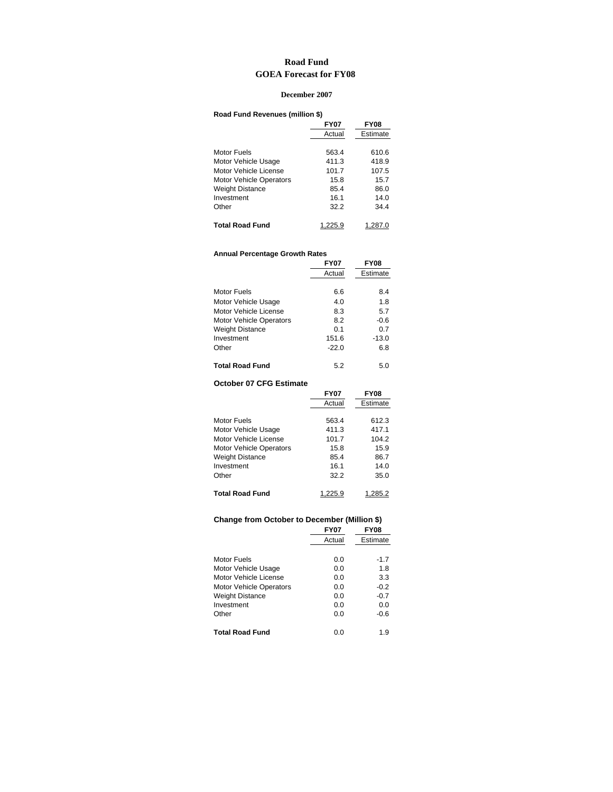## **Road Fund GOEA Forecast for FY08**

#### **December 2007**

### **Road Fund Revenues (million \$)**

|                                | <b>FY07</b> | <b>FY08</b> |
|--------------------------------|-------------|-------------|
|                                | Actual      | Estimate    |
|                                |             |             |
| Motor Fuels                    | 563.4       | 610.6       |
| Motor Vehicle Usage            | 411.3       | 418.9       |
| Motor Vehicle License          | 101.7       | 107.5       |
| <b>Motor Vehicle Operators</b> | 15.8        | 15.7        |
| <b>Weight Distance</b>         | 85.4        | 86.0        |
| Investment                     | 16.1        | 14.0        |
| Other                          | 32.2        | 34.4        |
| <b>Total Road Fund</b>         | 1.225.9     | 1.287.0     |

#### **Annual Percentage Growth Rates**

|                                | <b>FY07</b> | <b>FY08</b> |
|--------------------------------|-------------|-------------|
|                                | Actual      | Estimate    |
|                                |             |             |
| Motor Fuels                    | 6.6         | 8.4         |
| Motor Vehicle Usage            | 4.0         | 1.8         |
| Motor Vehicle License          | 8.3         | 5.7         |
| <b>Motor Vehicle Operators</b> | 8.2         | -0.6        |
| <b>Weight Distance</b>         | 0.1         | 0.7         |
| Investment                     | 151.6       | $-13.0$     |
| Other                          | $-22.0$     | 6.8         |
|                                |             |             |
| <b>Total Road Fund</b>         | 5.2         | 5.0         |

#### **October 07 CFG Estimate**

|                                | <b>FY07</b> | <b>FY08</b> |
|--------------------------------|-------------|-------------|
|                                | Actual      | Estimate    |
| Motor Fuels                    | 563.4       | 612.3       |
|                                |             |             |
| Motor Vehicle Usage            | 411.3       | 417.1       |
| Motor Vehicle License          | 101.7       | 104.2       |
| <b>Motor Vehicle Operators</b> | 15.8        | 15.9        |
| <b>Weight Distance</b>         | 85.4        | 86.7        |
| Investment                     | 16.1        | 14.0        |
| Other                          | 32.2        | 35.0        |
|                                |             |             |
| <b>Total Road Fund</b>         | 1.225.9     | 1.285.2     |

# **Change from October to December (Million \$)**

|                                | <b>FY07</b> | <b>FY08</b> |
|--------------------------------|-------------|-------------|
|                                | Actual      | Estimate    |
|                                |             |             |
| Motor Fuels                    | 0.0         | $-1.7$      |
| Motor Vehicle Usage            | 0.0         | 1.8         |
| Motor Vehicle License          | 0.0         | 3.3         |
| <b>Motor Vehicle Operators</b> | 0.0         | $-0.2$      |
| Weight Distance                | 0.0         | $-0.7$      |
| Investment                     | 0.0         | 0.0         |
| Other                          | 0.0         | $-0.6$      |
| Total Road Fund                | 0.0         | 1.9         |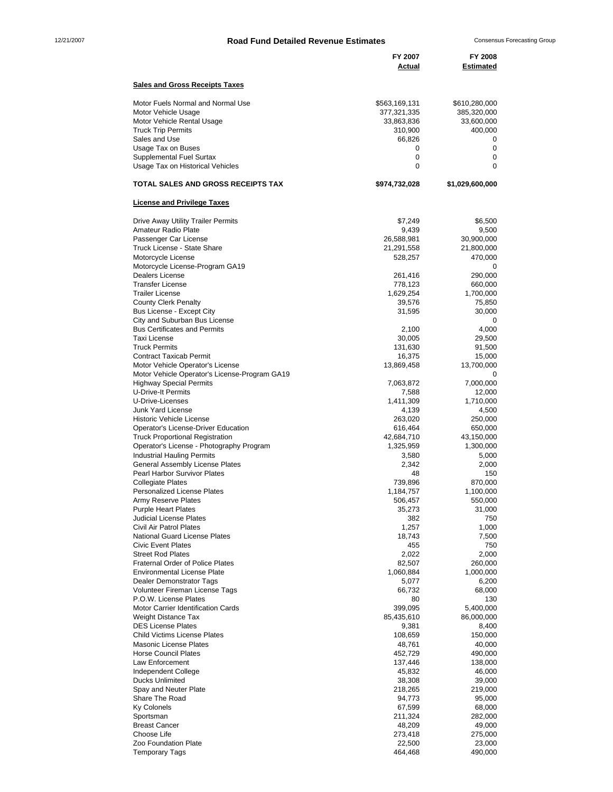# 12/21/2007 **Road Fund Detailed Revenue Estimates** Consensus Forecasting Group

|                                                                                                                                                                                                                                   | FY 2007<br>Actual                                                                                  | FY 2008<br>Estimated                                                                |
|-----------------------------------------------------------------------------------------------------------------------------------------------------------------------------------------------------------------------------------|----------------------------------------------------------------------------------------------------|-------------------------------------------------------------------------------------|
| <b>Sales and Gross Receipts Taxes</b>                                                                                                                                                                                             |                                                                                                    |                                                                                     |
| Motor Fuels Normal and Normal Use<br>Motor Vehicle Usage<br>Motor Vehicle Rental Usage<br><b>Truck Trip Permits</b><br>Sales and Use<br>Usage Tax on Buses<br><b>Supplemental Fuel Surtax</b><br>Usage Tax on Historical Vehicles | \$563,169,131<br>377,321,335<br>33,863,836<br>310,900<br>66,826<br>0<br>$\mathbf 0$<br>$\mathbf 0$ | \$610,280,000<br>385,320,000<br>33,600,000<br>400,000<br>0<br>0<br>0<br>$\mathbf 0$ |
| <b>TOTAL SALES AND GROSS RECEIPTS TAX</b>                                                                                                                                                                                         | \$974,732,028                                                                                      | \$1,029,600,000                                                                     |
| <b>License and Privilege Taxes</b>                                                                                                                                                                                                |                                                                                                    |                                                                                     |
| Drive Away Utility Trailer Permits<br>Amateur Radio Plate<br>Passenger Car License<br>Truck License - State Share<br>Motorcycle License<br>Motorcycle License-Program GA19                                                        | \$7,249<br>9,439<br>26,588,981<br>21,291,558<br>528,257                                            | \$6,500<br>9,500<br>30,900,000<br>21,800,000<br>470,000<br>0                        |
| <b>Dealers License</b><br><b>Transfer License</b><br><b>Trailer License</b><br><b>County Clerk Penalty</b><br>Bus License - Except City<br>City and Suburban Bus License<br><b>Bus Certificates and Permits</b>                   | 261,416<br>778,123<br>1,629,254<br>39,576<br>31,595                                                | 290,000<br>660,000<br>1,700,000<br>75,850<br>30,000<br>0                            |
| <b>Taxi License</b><br><b>Truck Permits</b><br><b>Contract Taxicab Permit</b><br>Motor Vehicle Operator's License<br>Motor Vehicle Operator's License-Program GA19                                                                | 2,100<br>30,005<br>131,630<br>16,375<br>13,869,458                                                 | 4,000<br>29,500<br>91,500<br>15,000<br>13,700,000<br>0                              |
| <b>Highway Special Permits</b><br><b>U-Drive-It Permits</b><br>U-Drive-Licenses<br><b>Junk Yard License</b><br><b>Historic Vehicle License</b><br>Operator's License-Driver Education                                             | 7,063,872<br>7,588<br>1,411,309<br>4,139<br>263,020<br>616,464                                     | 7,000,000<br>12,000<br>1,710,000<br>4,500<br>250,000<br>650,000                     |
| <b>Truck Proportional Registration</b><br>Operator's License - Photography Program<br><b>Industrial Hauling Permits</b><br><b>General Assembly License Plates</b><br>Pearl Harbor Survivor Plates                                 | 42,684,710<br>1,325,959<br>3,580<br>2,342<br>48                                                    | 43,150,000<br>1,300,000<br>5,000<br>2,000<br>150                                    |
| <b>Collegiate Plates</b><br><b>Personalized License Plates</b><br>Army Reserve Plates<br><b>Purple Heart Plates</b><br><b>Judicial License Plates</b><br>Civil Air Patrol Plates                                                  | 739,896<br>1,184,757<br>506,457<br>35,273<br>382                                                   | 870,000<br>1,100,000<br>550,000<br>31,000<br>750                                    |
| <b>National Guard License Plates</b><br><b>Civic Event Plates</b><br><b>Street Rod Plates</b><br><b>Fraternal Order of Police Plates</b><br><b>Environmental License Plate</b>                                                    | 1,257<br>18,743<br>455<br>2,022<br>82,507<br>1,060,884                                             | 1,000<br>7,500<br>750<br>2,000<br>260,000<br>1,000,000                              |
| Dealer Demonstrator Tags<br><b>Volunteer Fireman License Tags</b><br>P.O.W. License Plates<br>Motor Carrier Identification Cards<br>Weight Distance Tax                                                                           | 5,077<br>66,732<br>80<br>399,095<br>85,435,610                                                     | 6,200<br>68,000<br>130<br>5,400,000<br>86,000,000                                   |
| <b>DES License Plates</b><br><b>Child Victims License Plates</b><br><b>Masonic License Plates</b><br><b>Horse Council Plates</b><br>Law Enforcement                                                                               | 9,381<br>108,659<br>48,761<br>452,729<br>137,446                                                   | 8,400<br>150,000<br>40,000<br>490,000<br>138,000                                    |
| Independent College<br><b>Ducks Unlimited</b><br>Spay and Neuter Plate<br>Share The Road<br><b>Ky Colonels</b>                                                                                                                    | 45,832<br>38,308<br>218,265<br>94,773<br>67,599                                                    | 46,000<br>39,000<br>219,000<br>95,000<br>68,000                                     |
| Sportsman<br><b>Breast Cancer</b><br>Choose Life<br>Zoo Foundation Plate<br><b>Temporary Tags</b>                                                                                                                                 | 211,324<br>48,209<br>273,418<br>22,500<br>464,468                                                  | 282,000<br>49,000<br>275,000<br>23,000<br>490,000                                   |